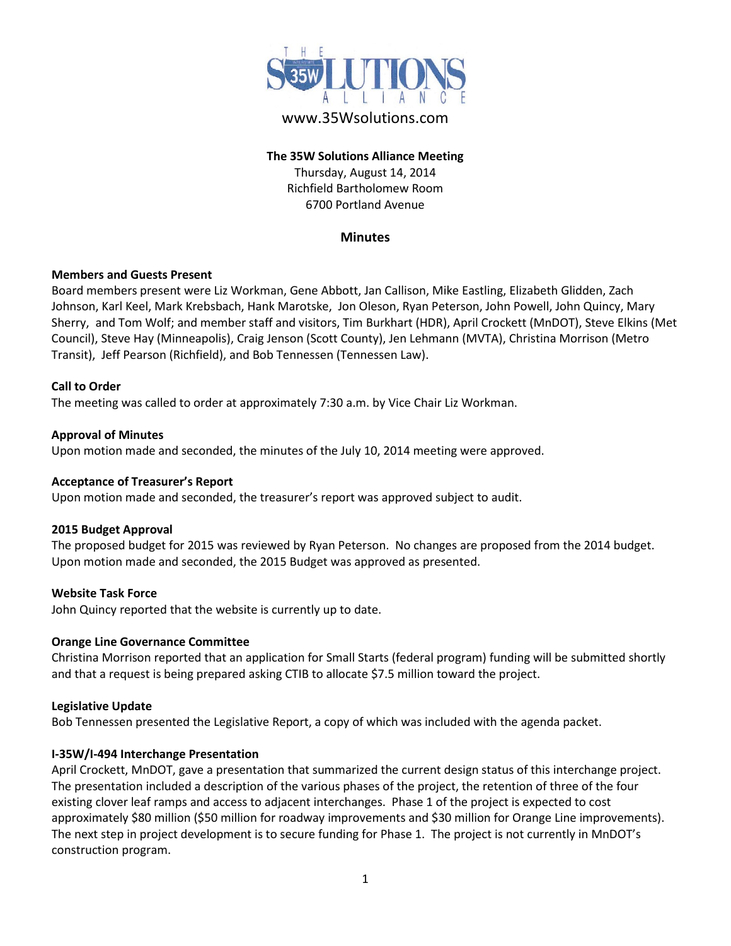

# www.35Wsolutions.com

# **The 35W Solutions Alliance Meeting** Thursday, August 14, 2014 Richfield Bartholomew Room

6700 Portland Avenue

# **Minutes**

# **Members and Guests Present**

Board members present were Liz Workman, Gene Abbott, Jan Callison, Mike Eastling, Elizabeth Glidden, Zach Johnson, Karl Keel, Mark Krebsbach, Hank Marotske, Jon Oleson, Ryan Peterson, John Powell, John Quincy, Mary Sherry, and Tom Wolf; and member staff and visitors, Tim Burkhart (HDR), April Crockett (MnDOT), Steve Elkins (Met Council), Steve Hay (Minneapolis), Craig Jenson (Scott County), Jen Lehmann (MVTA), Christina Morrison (Metro Transit), Jeff Pearson (Richfield), and Bob Tennessen (Tennessen Law).

#### **Call to Order**

The meeting was called to order at approximately 7:30 a.m. by Vice Chair Liz Workman.

# **Approval of Minutes**

Upon motion made and seconded, the minutes of the July 10, 2014 meeting were approved.

#### **Acceptance of Treasurer's Report**

Upon motion made and seconded, the treasurer's report was approved subject to audit.

#### **2015 Budget Approval**

The proposed budget for 2015 was reviewed by Ryan Peterson. No changes are proposed from the 2014 budget. Upon motion made and seconded, the 2015 Budget was approved as presented.

#### **Website Task Force**

John Quincy reported that the website is currently up to date.

#### **Orange Line Governance Committee**

Christina Morrison reported that an application for Small Starts (federal program) funding will be submitted shortly and that a request is being prepared asking CTIB to allocate \$7.5 million toward the project.

#### **Legislative Update**

Bob Tennessen presented the Legislative Report, a copy of which was included with the agenda packet.

#### **I-35W/I-494 Interchange Presentation**

April Crockett, MnDOT, gave a presentation that summarized the current design status of this interchange project. The presentation included a description of the various phases of the project, the retention of three of the four existing clover leaf ramps and access to adjacent interchanges. Phase 1 of the project is expected to cost approximately \$80 million (\$50 million for roadway improvements and \$30 million for Orange Line improvements). The next step in project development is to secure funding for Phase 1. The project is not currently in MnDOT's construction program.